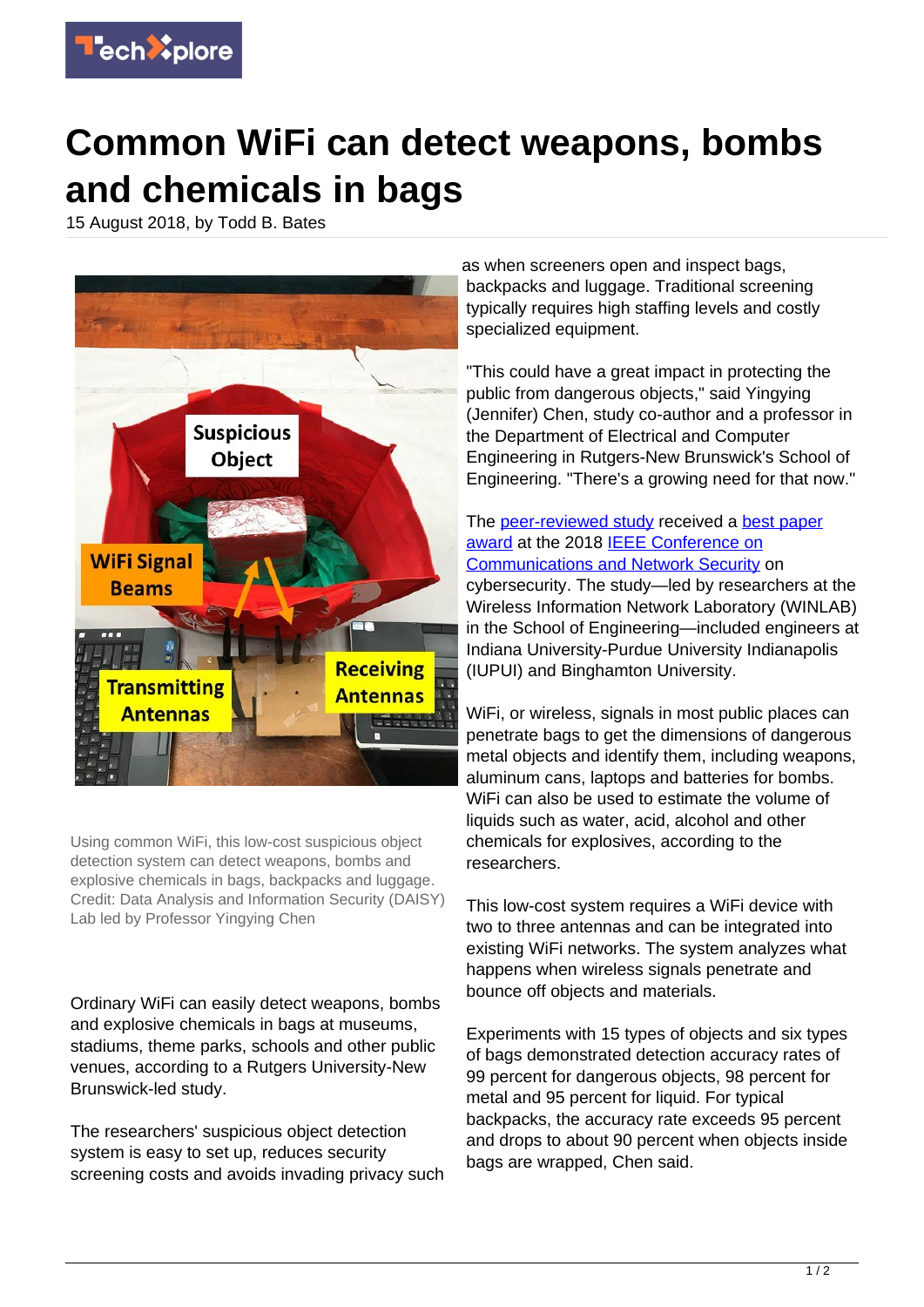

## **Common WiFi can detect weapons, bombs and chemicals in bags**

15 August 2018, by Todd B. Bates



Using common WiFi, this low-cost suspicious object detection system can detect weapons, bombs and explosive chemicals in bags, backpacks and luggage. Credit: Data Analysis and Information Security (DAISY) Lab led by Professor Yingying Chen

Ordinary WiFi can easily detect weapons, bombs and explosive chemicals in bags at museums, stadiums, theme parks, schools and other public venues, according to a Rutgers University-New Brunswick-led study.

The researchers' suspicious object detection system is easy to set up, reduces security screening costs and avoids invading privacy such as when screeners open and inspect bags, backpacks and luggage. Traditional screening typically requires high staffing levels and costly specialized equipment.

"This could have a great impact in protecting the public from dangerous objects," said Yingying (Jennifer) Chen, study co-author and a professor in the Department of Electrical and Computer Engineering in Rutgers-New Brunswick's School of Engineering. "There's a growing need for that now."

The [peer-reviewed study](http://www.winlab.rutgers.edu/~yychen/papers/Towards%20In%20baggage%20Suspicious%20Object%20Detection%20Using%20Commodity%20WiFi.pdf) received a [best paper](http://cns2018.ieee-cns.org/node/80) [award](http://cns2018.ieee-cns.org/node/80) at the 2018 **[IEEE Conference on](http://cns2018.ieee-cns.org/)** [Communications and Network Security](http://cns2018.ieee-cns.org/) on cybersecurity. The study—led by researchers at the Wireless Information Network Laboratory (WINLAB) in the School of Engineering—included engineers at Indiana University-Purdue University Indianapolis (IUPUI) and Binghamton University.

WiFi, or wireless, signals in most public places can penetrate bags to get the dimensions of dangerous metal objects and identify them, including weapons, aluminum cans, laptops and batteries for bombs. WiFi can also be used to estimate the volume of liquids such as water, acid, alcohol and other chemicals for explosives, according to the researchers.

This low-cost system requires a WiFi device with two to three antennas and can be integrated into existing WiFi networks. The system analyzes what happens when wireless signals penetrate and bounce off objects and materials.

Experiments with 15 types of objects and six types of bags demonstrated detection accuracy rates of 99 percent for dangerous objects, 98 percent for metal and 95 percent for liquid. For typical backpacks, the accuracy rate exceeds 95 percent and drops to about 90 percent when objects inside bags are wrapped, Chen said.